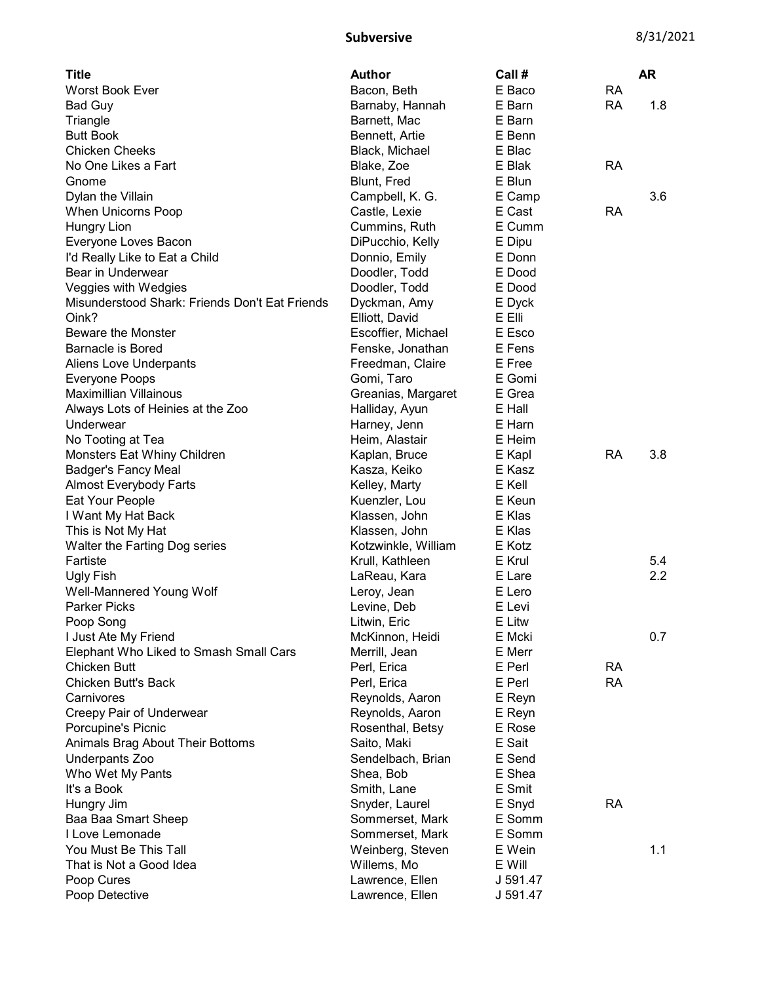## Subversive 8/31/2021

| <b>Title</b>                                   | <b>Author</b>       | Call #   |           | <b>AR</b> |
|------------------------------------------------|---------------------|----------|-----------|-----------|
| Worst Book Ever                                | Bacon, Beth         | E Baco   | <b>RA</b> |           |
| Bad Guy                                        | Barnaby, Hannah     | E Barn   | <b>RA</b> | 1.8       |
| Triangle                                       | Barnett, Mac        | E Barn   |           |           |
| <b>Butt Book</b>                               | Bennett, Artie      | E Benn   |           |           |
| <b>Chicken Cheeks</b>                          | Black, Michael      | E Blac   |           |           |
| No One Likes a Fart                            | Blake, Zoe          | E Blak   | <b>RA</b> |           |
| Gnome                                          | Blunt, Fred         | E Blun   |           |           |
| Dylan the Villain                              | Campbell, K. G.     | E Camp   |           | 3.6       |
| When Unicorns Poop                             | Castle, Lexie       | E Cast   | <b>RA</b> |           |
| <b>Hungry Lion</b>                             | Cummins, Ruth       | E Cumm   |           |           |
| Everyone Loves Bacon                           | DiPucchio, Kelly    | E Dipu   |           |           |
| I'd Really Like to Eat a Child                 | Donnio, Emily       | E Donn   |           |           |
| Bear in Underwear                              | Doodler, Todd       | E Dood   |           |           |
| Veggies with Wedgies                           | Doodler, Todd       | E Dood   |           |           |
| Misunderstood Shark: Friends Don't Eat Friends | Dyckman, Amy        | E Dyck   |           |           |
| Oink?                                          | Elliott, David      | E Elli   |           |           |
| <b>Beware the Monster</b>                      | Escoffier, Michael  | E Esco   |           |           |
| <b>Barnacle is Bored</b>                       | Fenske, Jonathan    | E Fens   |           |           |
| Aliens Love Underpants                         | Freedman, Claire    | E Free   |           |           |
| <b>Everyone Poops</b>                          | Gomi, Taro          | E Gomi   |           |           |
| <b>Maximillian Villainous</b>                  | Greanias, Margaret  | E Grea   |           |           |
| Always Lots of Heinies at the Zoo              | Halliday, Ayun      | E Hall   |           |           |
| Underwear                                      | Harney, Jenn        | E Harn   |           |           |
| No Tooting at Tea                              | Heim, Alastair      | E Heim   |           |           |
| Monsters Eat Whiny Children                    | Kaplan, Bruce       | E Kapl   | <b>RA</b> | 3.8       |
| Badger's Fancy Meal                            | Kasza, Keiko        | E Kasz   |           |           |
| <b>Almost Everybody Farts</b>                  | Kelley, Marty       | E Kell   |           |           |
| Eat Your People                                | Kuenzler, Lou       | E Keun   |           |           |
| I Want My Hat Back                             | Klassen, John       | E Klas   |           |           |
| This is Not My Hat                             | Klassen, John       | E Klas   |           |           |
| Walter the Farting Dog series                  | Kotzwinkle, William | E Kotz   |           |           |
| Fartiste                                       | Krull, Kathleen     | E Krul   |           | 5.4       |
| Ugly Fish                                      | LaReau, Kara        | E Lare   |           | 2.2       |
| Well-Mannered Young Wolf                       | Leroy, Jean         | E Lero   |           |           |
| <b>Parker Picks</b>                            | Levine, Deb         | E Levi   |           |           |
| Poop Song                                      | Litwin, Eric        | E Litw   |           |           |
| I Just Ate My Friend                           | McKinnon, Heidi     | E Mcki   |           | 0.7       |
| Elephant Who Liked to Smash Small Cars         | Merrill, Jean       | E Merr   |           |           |
| <b>Chicken Butt</b>                            | Perl, Erica         | E Perl   | <b>RA</b> |           |
| <b>Chicken Butt's Back</b>                     | Perl, Erica         | E Perl   | <b>RA</b> |           |
| Carnivores                                     | Reynolds, Aaron     | E Reyn   |           |           |
| Creepy Pair of Underwear                       | Reynolds, Aaron     | E Reyn   |           |           |
| Porcupine's Picnic                             | Rosenthal, Betsy    | E Rose   |           |           |
| Animals Brag About Their Bottoms               | Saito, Maki         | E Sait   |           |           |
| Underpants Zoo                                 | Sendelbach, Brian   | E Send   |           |           |
| Who Wet My Pants                               | Shea, Bob           | E Shea   |           |           |
| It's a Book                                    | Smith, Lane         | E Smit   |           |           |
| Hungry Jim                                     | Snyder, Laurel      | E Snyd   | <b>RA</b> |           |
| Baa Baa Smart Sheep                            | Sommerset, Mark     | E Somm   |           |           |
| I Love Lemonade                                | Sommerset, Mark     | E Somm   |           |           |
| You Must Be This Tall                          | Weinberg, Steven    | E Wein   |           | 1.1       |
| That is Not a Good Idea                        | Willems, Mo         | E Will   |           |           |
| Poop Cures                                     | Lawrence, Ellen     | J 591.47 |           |           |
| Poop Detective                                 | Lawrence, Ellen     | J 591.47 |           |           |